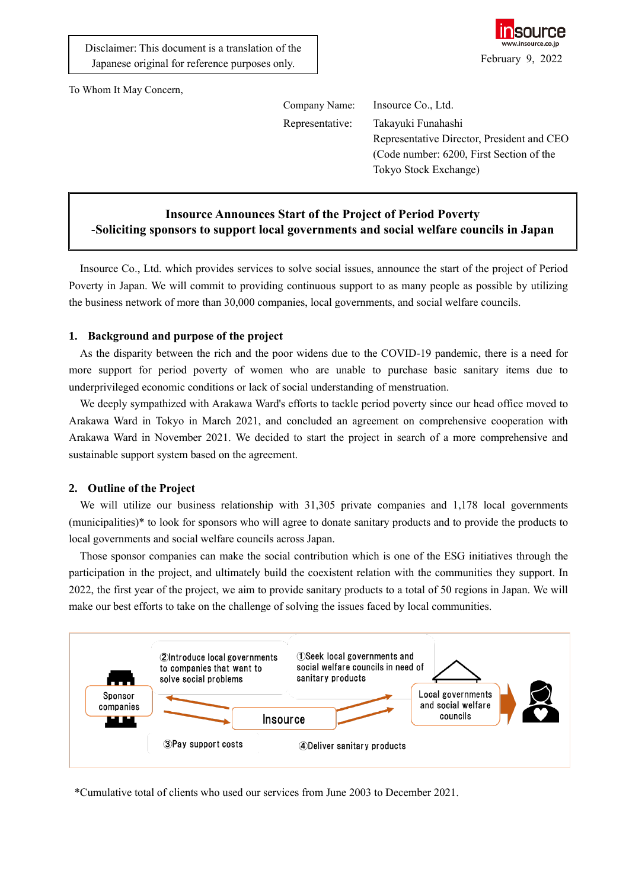

To Whom It May Concern,

Company Name: Insource Co., Ltd.

Representative: Takayuki Funahashi Representative Director, President and CEO (Code number: 6200, First Section of the Tokyo Stock Exchange)

## **Insource Announces Start of the Project of Period Poverty -Soliciting sponsors to support local governments and social welfare councils in Japan**

Insource Co., Ltd. which provides services to solve social issues, announce the start of the project of Period Poverty in Japan. We will commit to providing continuous support to as many people as possible by utilizing the business network of more than 30,000 companies, local governments, and social welfare councils.

## **1. Background and purpose of the project**

As the disparity between the rich and the poor widens due to the COVID-19 pandemic, there is a need for more support for period poverty of women who are unable to purchase basic sanitary items due to underprivileged economic conditions or lack of social understanding of menstruation.

We deeply sympathized with Arakawa Ward's efforts to tackle period poverty since our head office moved to Arakawa Ward in Tokyo in March 2021, and concluded an agreement on comprehensive cooperation with Arakawa Ward in November 2021. We decided to start the project in search of a more comprehensive and sustainable support system based on the agreement.

## **2. Outline of the Project**

We will utilize our business relationship with 31,305 private companies and 1,178 local governments (municipalities)\* to look for sponsors who will agree to donate sanitary products and to provide the products to local governments and social welfare councils across Japan.

Those sponsor companies can make the social contribution which is one of the ESG initiatives through the participation in the project, and ultimately build the coexistent relation with the communities they support. In 2022, the first year of the project, we aim to provide sanitary products to a total of 50 regions in Japan. We will make our best efforts to take on the challenge of solving the issues faced by local communities.



\*Cumulative total of clients who used our services from June 2003 to December 2021.